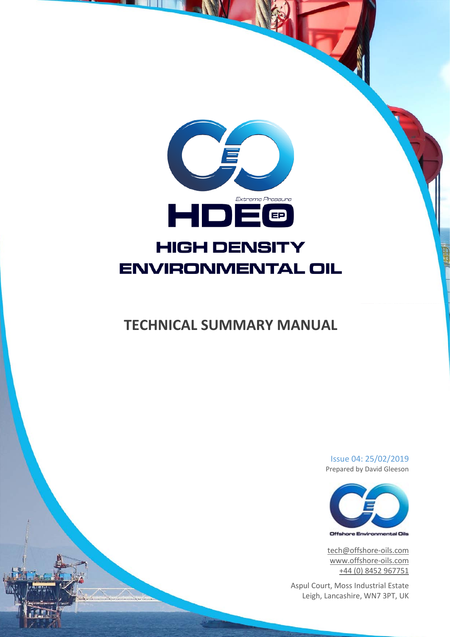

# **TECHNICAL SUMMARY MANUAL**

Issue 04: 25/02/2019 Prepared by David Gleeson



[tech@offshore-oils.com](mailto:tech@offshore-oils.com) [www.offshore-oils.com](http://www.offshore-oils.com/) +44 (0) 8452 967751

Aspul Court, Moss Industrial Estate Leigh, Lancashire, WN7 3PT, UK

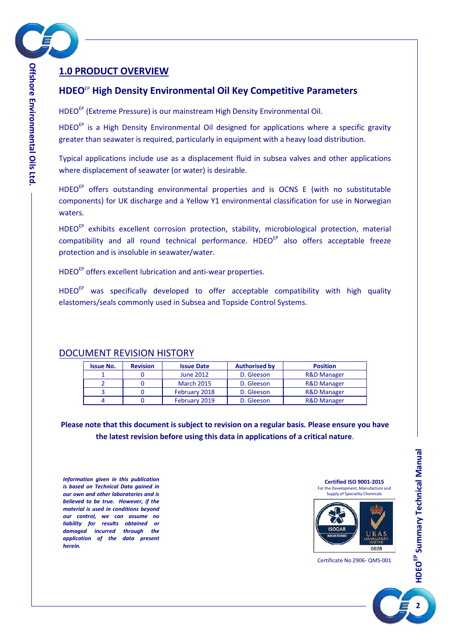

# <span id="page-1-0"></span>**1.0 PRODUCT OVERVIEW**

# **HDEO**EP **High Density Environmental Oil Key Competitive Parameters**

HDEO<sup>EP</sup> (Extreme Pressure) is our mainstream High Density Environmental Oil.

HDEO<sup>EP</sup> is a High Density Environmental Oil designed for applications where a specific gravity greater than seawater is required, particularly in equipment with a heavy load distribution.

Typical applications include use as a displacement fluid in subsea valves and other applications where displacement of seawater (or water) is desirable.

HDEO<sup>EP</sup> offers outstanding environmental properties and is OCNS E (with no substitutable components) for UK discharge and a Yellow Y1 environmental classification for use in Norwegian waters.

HDEO<sup>EP</sup> exhibits excellent corrosion protection, stability, microbiological protection, material compatibility and all round technical performance. HDEO<sup>EP</sup> also offers acceptable freeze protection and is insoluble in seawater/water.

HDEO<sup>EP</sup> offers excellent lubrication and anti-wear properties.

HDEO<sup>EP</sup> was specifically developed to offer acceptable compatibility with high quality elastomers/seals commonly used in Subsea and Topside Control Systems.

| <b>Issue No.</b> | <b>Revision</b> | <b>Issue Date</b> | <b>Authorised by</b> | <b>Position</b>        |
|------------------|-----------------|-------------------|----------------------|------------------------|
|                  |                 | <b>June 2012</b>  | D. Gleeson           | <b>R&amp;D Manager</b> |
|                  |                 | <b>March 2015</b> | D. Gleeson           | <b>R&amp;D Manager</b> |
|                  |                 | February 2018     | D. Gleeson           | <b>R&amp;D Manager</b> |
|                  |                 | February 2019     | D. Gleeson           | <b>R&amp;D Manager</b> |

# DOCUMENT REVISION HISTORY

**Please note that this document is subject to revision on a regular basis. Please ensure you have the latest revision before using this data in applications of a critical nature**.

*Information given in this publication is based on Technical Data gained in our own and other laboratories and is believed to be true. However, if the material is used in conditions beyond our control, we can assume no liability for results obtained or damaged incurred through the application of the data present herein.*

**Certified ISO 9001-2015** For the Development, Manufacture and Supply of Speciality Chemicals



Certificate No 2906- QMS-001

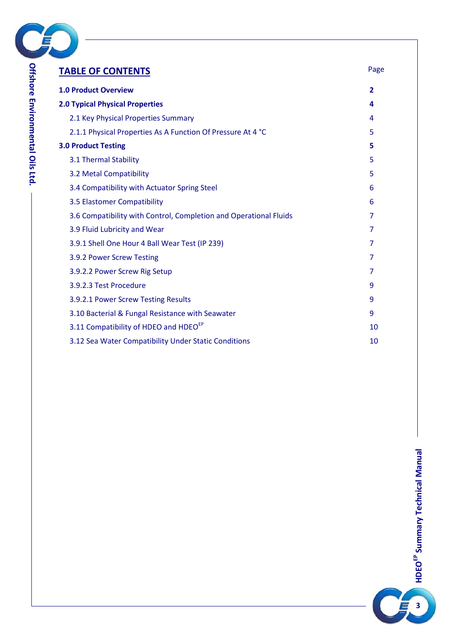

| <b>TABLE OF CONTENTS</b>                                          | Page           |
|-------------------------------------------------------------------|----------------|
| <b>1.0 Product Overview</b>                                       | $\overline{2}$ |
| <b>2.0 Typical Physical Properties</b>                            | 4              |
| 2.1 Key Physical Properties Summary                               | 4              |
| 2.1.1 Physical Properties As A Function Of Pressure At 4 °C       | 5              |
| <b>3.0 Product Testing</b>                                        | 5              |
| 3.1 Thermal Stability                                             | 5              |
| 3.2 Metal Compatibility                                           | 5              |
| 3.4 Compatibility with Actuator Spring Steel                      | 6              |
| 3.5 Elastomer Compatibility                                       | 6              |
| 3.6 Compatibility with Control, Completion and Operational Fluids | 7              |
| 3.9 Fluid Lubricity and Wear                                      | 7              |
| 3.9.1 Shell One Hour 4 Ball Wear Test (IP 239)                    | 7              |
| 3.9.2 Power Screw Testing                                         | 7              |
| 3.9.2.2 Power Screw Rig Setup                                     | 7              |
| 3.9.2.3 Test Procedure                                            | 9              |
| 3.9.2.1 Power Screw Testing Results                               | 9              |
| 3.10 Bacterial & Fungal Resistance with Seawater                  | 9              |
| 3.11 Compatibility of HDEO and HDEO <sup>EP</sup>                 | 10             |
| 3.12 Sea Water Compatibility Under Static Conditions              | 10             |

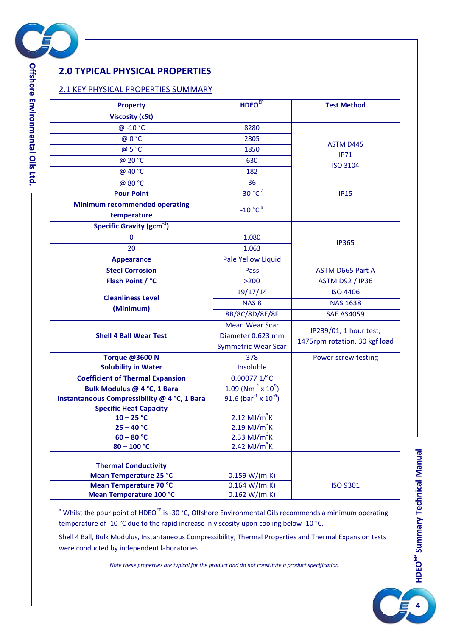

# <span id="page-3-0"></span>**2.0 TYPICAL PHYSICAL PROPERTIES**

#### <span id="page-3-1"></span>2.1 KEY PHYSICAL PROPERTIES SUMMARY

| <b>Property</b>                                              | <b>HDEO</b> <sup>EP</sup>                    | <b>Test Method</b>            |
|--------------------------------------------------------------|----------------------------------------------|-------------------------------|
| <b>Viscosity (cSt)</b>                                       |                                              |                               |
| @-10 °C                                                      | 8280                                         |                               |
| @ 0 °C                                                       | 2805                                         |                               |
| @ 5 °C                                                       | 1850                                         | <b>ASTM D445</b>              |
| @ 20 °C                                                      | 630                                          | IP71                          |
| @ 40 °C                                                      | 182                                          | <b>ISO 3104</b>               |
| @ 80 °C                                                      | 36                                           |                               |
| <b>Pour Point</b>                                            | $-30 °C^a$                                   | <b>IP15</b>                   |
| <b>Minimum recommended operating</b>                         |                                              |                               |
| temperature                                                  | $-10 °C$ <sup>a</sup>                        |                               |
| Specific Gravity (gcm <sup>-3</sup> )                        |                                              |                               |
| $\bf{0}$                                                     | 1.080                                        |                               |
| 20                                                           | 1.063                                        | <b>IP365</b>                  |
| <b>Appearance</b>                                            | Pale Yellow Liquid                           |                               |
| <b>Steel Corrosion</b>                                       | Pass                                         | <b>ASTM D665 Part A</b>       |
| Flash Point / °C                                             | $>200$                                       | <b>ASTM D92 / IP36</b>        |
|                                                              | 19/17/14                                     | <b>ISO 4406</b>               |
| <b>Cleanliness Level</b>                                     | NAS <sub>8</sub>                             | <b>NAS 1638</b>               |
| (Minimum)                                                    | 8B/8C/8D/8E/8F                               | <b>SAE AS4059</b>             |
|                                                              | <b>Mean Wear Scar</b>                        |                               |
| <b>Shell 4 Ball Wear Test</b>                                | Diameter 0.623 mm                            | IP239/01, 1 hour test,        |
|                                                              | <b>Symmetric Wear Scar</b>                   | 1475rpm rotation, 30 kgf load |
| <b>Torque @3600 N</b>                                        | 378                                          | Power screw testing           |
| <b>Solubility in Water</b>                                   | Insoluble                                    |                               |
| <b>Coefficient of Thermal Expansion</b>                      | $0.00077$ 1/ $^{\circ}$ C                    |                               |
| Bulk Modulus @ 4 °C, 1 Bara                                  | $1.09 (Nm-2 × 109)$                          |                               |
| Instantaneous Compressibility @ 4 °C, 1 Bara                 | 91.6 (bar <sup>-1</sup> x 10 <sup>-6</sup> ) |                               |
| <b>Specific Heat Capacity</b>                                |                                              |                               |
| $10 - 25 °C$                                                 | 2.12 MJ/ $m^3$ K                             |                               |
| $25 - 40 °C$                                                 | $2.19 \text{ MJ/m}^3$ K                      |                               |
| $60 - 80 °C$                                                 | 2.33 MJ/ $m^3$ K                             |                               |
| $80 - 100 °C$                                                | 2.42 MJ/ $\overline{m}^3$ K                  |                               |
|                                                              |                                              |                               |
| <b>Thermal Conductivity</b><br><b>Mean Temperature 25 °C</b> | 0.159 W/(m.K)                                |                               |
| Mean Temperature 70 °C                                       | 0.164 W/(m.K)                                | <b>ISO 9301</b>               |
| Mean Temperature 100 °C                                      | 0.162 W/(m.K)                                |                               |
|                                                              |                                              |                               |

<sup>a</sup> Whilst the pour point of HDEO<sup>EP</sup> is -30 °C, Offshore Environmental Oils recommends a minimum operating temperature of -10 °C due to the rapid increase in viscosity upon cooling below -10 °C.

Shell 4 Ball, Bulk Modulus, Instantaneous Compressibility, Thermal Properties and Thermal Expansion tests were conducted by independent laboratories.

*Note these properties are typical for the product and do not constitute a product specification.*

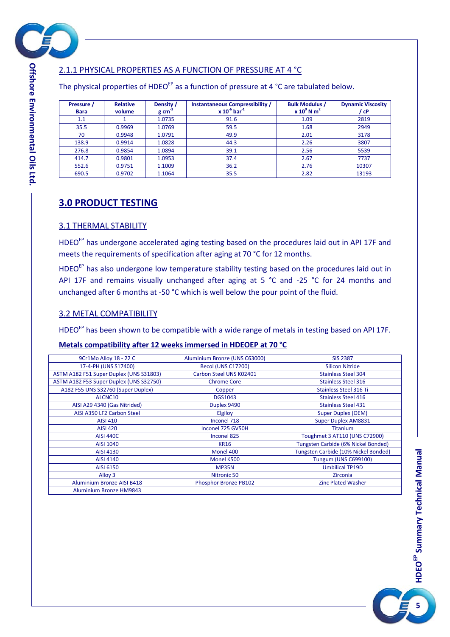

# <span id="page-4-0"></span>2.1.1 PHYSICAL PROPERTIES AS A FUNCTION OF PRESSURE AT 4 °C

The physical properties of HDEO<sup>EP</sup> as a function of pressure at 4 °C are tabulated below.

| Pressure /<br><b>Bara</b> | <b>Relative</b><br>volume | Density /<br>$g \text{ cm}^{-3}$ | <b>Instantaneous Compressibility /</b><br>$x 10^{-6}$ bar <sup>-1</sup> | <b>Bulk Modulus /</b><br>$x 10^9$ N m <sup>2</sup> | <b>Dynamic Viscosity</b><br>/ cP |
|---------------------------|---------------------------|----------------------------------|-------------------------------------------------------------------------|----------------------------------------------------|----------------------------------|
| 1.1                       |                           | 1.0735                           | 91.6                                                                    | 1.09                                               | 2819                             |
| 35.5                      | 0.9969                    | 1.0769                           | 59.5                                                                    | 1.68                                               | 2949                             |
| 70                        | 0.9948                    | 1.0791                           | 49.9                                                                    | 2.01                                               | 3178                             |
| 138.9                     | 0.9914                    | 1.0828                           | 44.3                                                                    | 2.26                                               | 3807                             |
| 276.8                     | 0.9854                    | 1.0894                           | 39.1                                                                    | 2.56                                               | 5539                             |
| 414.7                     | 0.9801                    | 1.0953                           | 37.4                                                                    | 2.67                                               | 7737                             |
| 552.6                     | 0.9751                    | 1.1009                           | 36.2                                                                    | 2.76                                               | 10307                            |
| 690.5                     | 0.9702                    | 1.1064                           | 35.5                                                                    | 2.82                                               | 13193                            |

# <span id="page-4-1"></span>**3.0 PRODUCT TESTING**

#### <span id="page-4-2"></span>3.1 THERMAL STABILITY

HDEO<sup>EP</sup> has undergone accelerated aging testing based on the procedures laid out in API 17F and meets the requirements of specification after aging at 70 °C for 12 months.

HDEO<sup>EP</sup> has also undergone low temperature stability testing based on the procedures laid out in API 17F and remains visually unchanged after aging at 5 °C and -25 °C for 24 months and unchanged after 6 months at -50 °C which is well below the pour point of the fluid.

## <span id="page-4-3"></span>3.2 METAL COMPATIBILITY

HDEO<sup>EP</sup> has been shown to be compatible with a wide range of metals in testing based on API 17F.

#### **Metals compatibility after 12 weeks immersed in HDEOEP at 70 °C**

| 9Cr1Mo Alloy 18 - 22 C                  | Aluminium Bronze (UNS C63000) | <b>SIS 2387</b>                      |
|-----------------------------------------|-------------------------------|--------------------------------------|
| 17-4-PH (UNS S17400)                    | <b>Becol (UNS C17200)</b>     | <b>Silicon Nitride</b>               |
| ASTM A182 F51 Super Duplex (UNS S31803) | Carbon Steel UNS K02401       | <b>Stainless Steel 304</b>           |
| ASTM A182 F53 Super Duplex (UNS S32750) | <b>Chrome Core</b>            | <b>Stainless Steel 316</b>           |
| A182 F55 UNS S32760 (Super Duplex)      | Copper                        | <b>Stainless Steel 316 Ti</b>        |
| ALCNC10                                 | <b>DGS1043</b>                | <b>Stainless Steel 416</b>           |
| AISI A29 4340 (Gas Nitrided)            | Duplex 9490                   | <b>Stainless Steel 431</b>           |
| AISI A350 LF2 Carbon Steel              | Elgiloy                       | <b>Super Duplex (OEM)</b>            |
| <b>AISI 410</b>                         | Inconel 718                   | <b>Super Duplex AM8831</b>           |
| AISI 420                                | Inconel 725 GV50H             | <b>Titanium</b>                      |
| <b>AISI 440C</b>                        | Inconel 825                   | Toughmet 3 AT110 (UNS C72900)        |
| AISI 1040                               | <b>KR16</b>                   | Tungsten Carbide (6% Nickel Bonded)  |
| AISI 4130                               | Monel 400                     | Tungsten Carbide (10% Nickel Bonded) |
| AISI 4140                               | Monel K500                    | <b>Tungum (UNS C699100)</b>          |
| AISI 6150                               | <b>MP35N</b>                  | <b>Umbilical TP19D</b>               |
| Alloy 3                                 | Nitronic 50                   | <b>Zirconia</b>                      |
| <b>Aluminium Bronze AISI B418</b>       | Phosphor Bronze PB102         | <b>Zinc Plated Washer</b>            |
| <b>Aluminium Bronze HM9843</b>          |                               |                                      |

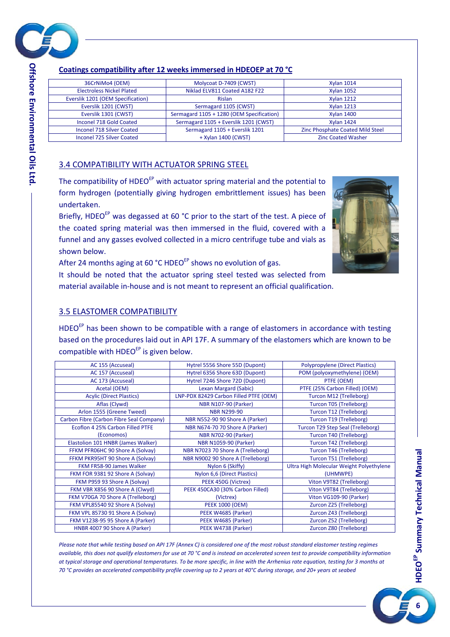

**Offshore Environmental Oils**

### **Coatings compatibility after 12 weeks immersed in HDEOEP at 70 °C**

| 36CrNiMo4 (OEM)                   | Molycoat D-7409 (CWST)                    | <b>Xylan 1014</b>                |
|-----------------------------------|-------------------------------------------|----------------------------------|
| <b>Electroless Nickel Plated</b>  | Niklad ELV811 Coated A182 F22             | <b>Xylan 1052</b>                |
| Everslik 1201 (OEM Specification) | <b>Rislan</b>                             | <b>Xylan 1212</b>                |
| Everslik 1201 (CWST)              | Sermagard 1105 (CWST)                     | <b>Xylan 1213</b>                |
| Everslik 1301 (CWST)              | Sermagard 1105 + 1280 (OEM Specification) | <b>Xylan 1400</b>                |
| Inconel 718 Gold Coated           | Sermagard 1105 + Everslik 1201 (CWST)     | <b>Xylan 1424</b>                |
| <b>Inconel 718 Silver Coated</b>  | Sermagard 1105 + Everslik 1201            | Zinc Phosphate Coated Mild Steel |
| Inconel 725 Silver Coated         | + Xylan 1400 (CWST)                       | <b>Zinc Coated Washer</b>        |

## <span id="page-5-0"></span>3.4 COMPATIBILITY WITH ACTUATOR SPRING STEEL

The compatibility of HDEO<sup>EP</sup> with actuator spring material and the potential to form hydrogen (potentially giving hydrogen embrittlement issues) has been undertaken.

Briefly, HDEO<sup>EP</sup> was degassed at 60 °C prior to the start of the test. A piece of the coated spring material was then immersed in the fluid, covered with a funnel and any gasses evolved collected in a micro centrifuge tube and vials as shown below.



After 24 months aging at 60 °C HDEO<sup>EP</sup> shows no evolution of gas.

It should be noted that the actuator spring steel tested was selected from material available in-house and is not meant to represent an official qualification.

#### <span id="page-5-1"></span>3.5 ELASTOMER COMPATIBILITY

 $HDEO<sup>EP</sup>$  has been shown to be compatible with a range of elastomers in accordance with testing based on the procedures laid out in API 17F. A summary of the elastomers which are known to be compatible with  $HDEO<sup>EP</sup>$  is given below.

| AC 155 (Accuseal)                        | Hytrel 5556 Shore 55D (Dupont)         | <b>Polypropylene (Direct Plastics)</b>   |
|------------------------------------------|----------------------------------------|------------------------------------------|
| AC 157 (Accuseal)                        | Hytrel 6356 Shore 63D (Dupont)         | POM (polyoxymethylene) (OEM)             |
| AC 173 (Accuseal)                        | Hytrel 7246 Shore 72D (Dupont)         | PTFE (OEM)                               |
| Acetal (OEM)                             | <b>Lexan Margard (Sabic)</b>           | PTFE (25% Carbon Filled) (OEM)           |
| <b>Acylic (Direct Plastics)</b>          | LNP-PDX 82429 Carbon Filled PTFE (OEM) | Turcon M12 (Trelleborg)                  |
| Aflas (Clywd)                            | <b>NBR N107-90 (Parker)</b>            | Turcon T05 (Trelleborg)                  |
| Arlon 1555 (Greene Tweed)                | <b>NBR N299-90</b>                     | Turcon T12 (Trelleborg)                  |
| Carbon Fibre (Carbon Fibre Seal Company) | NBR N552-90 90 Shore A (Parker)        | Turcon T19 (Trelleborg)                  |
| Ecoflon 4 25% Carbon Filled PTFE         | NBR N674-70 70 Shore A (Parker)        | Turcon T29 Step Seal (Trelleborg)        |
| (Economos)                               | <b>NBR N702-90 (Parker)</b>            | Turcon T40 (Trelleborg)                  |
| Elastolion 101 HNBR (James Walker)       | <b>NBR N1059-90 (Parker)</b>           | Turcon T42 (Trelleborg)                  |
| FFKM PFR06HC 90 Shore A (Solvay)         | NBR N7023 70 Shore A (Trelleborg)      | Turcon T46 (Trelleborg)                  |
| FFKM PKR95HT 90 Shore A (Solvay)         | NBR N9002 90 Shore A (Trelleborg)      | Turcon T51 (Trelleborg)                  |
| FKM FR58-90 James Walker                 | Nylon 6 (Skiffy)                       | Ultra High Molecular Weight Polyethylene |
| FKM FOR 9381 92 Shore A (Solvay)         | Nylon 6,6 (Direct Plastics)            | (UHMWPE)                                 |
| FKM P959 93 Shore A (Solvay)             | PEEK 450G (Victrex)                    | Viton V9T82 (Trelleborg)                 |
| FKM VBR X856 90 Shore A (Clwyd)          | PEEK 450CA30 (30% Carbon Filled)       | Viton V9T84 (Trelleborg)                 |
| FKM V70GA 70 Shore A (Trelleborg)        | (Victrex)                              | Viton VG109-90 (Parker)                  |
| FKM VPL85540 92 Shore A (Solvay)         | <b>PEEK 1000 (OEM)</b>                 | Zurcon Z25 (Trelleborg)                  |
| FKM VPL 85730 91 Shore A (Solvay)        | PEEK W4685 (Parker)                    | Zurcon Z43 (Trelleborg)                  |
| FKM V1238-95 95 Shore A (Parker)         | PEEK W4685 (Parker)                    | Zurcon Z52 (Trelleborg)                  |
| HNBR 4007 90 Shore A (Parker)            | PEEK W4738 (Parker)                    | Zurcon Z80 (Trelleborg)                  |

*Please note that while testing based on API 17F (Annex C) is considered one of the most robust standard elastomer testing regimes available, this does not qualify elastomers for use at 70 °C and is instead an accelerated screen test to provide compatibility information at typical storage and operational temperatures. To be more specific, in line with the Arrhenius rate equation, testing for 3 months at 70 °C provides an accelerated compatibility profile covering up to 2 years at 40°C during storage, and 20+ years at seabed*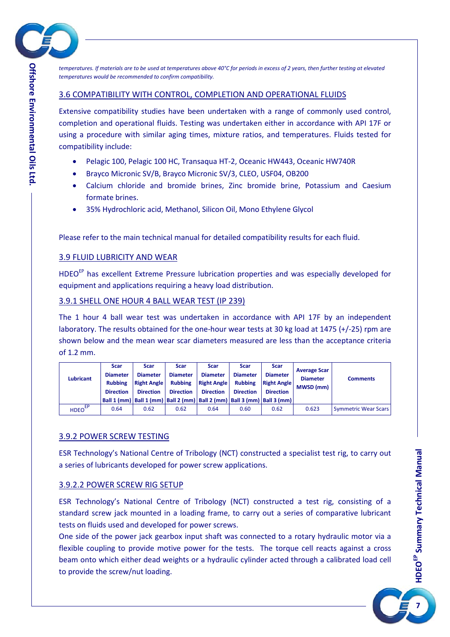

*temperatures. If materials are to be used at temperatures above 40°C for periods in excess of 2 years, then further testing at elevated temperatures would be recommended to confirm compatibility.*

#### <span id="page-6-0"></span>3.6 COMPATIBILITY WITH CONTROL, COMPLETION AND OPERATIONAL FLUIDS

Extensive compatibility studies have been undertaken with a range of commonly used control, completion and operational fluids. Testing was undertaken either in accordance with API 17F or using a procedure with similar aging times, mixture ratios, and temperatures. Fluids tested for compatibility include:

- Pelagic 100, Pelagic 100 HC, Transaqua HT-2, Oceanic HW443, Oceanic HW740R
- Brayco Micronic SV/B, Brayco Micronic SV/3, CLEO, USF04, OB200
- Calcium chloride and bromide brines, Zinc bromide brine, Potassium and Caesium formate brines.
- 35% Hydrochloric acid, Methanol, Silicon Oil, Mono Ethylene Glycol

Please refer to the main technical manual for detailed compatibility results for each fluid.

## <span id="page-6-1"></span>3.9 FLUID LUBRICITY AND WEAR

HDEO<sup>EP</sup> has excellent Extreme Pressure lubrication properties and was especially developed for equipment and applications requiring a heavy load distribution.

## <span id="page-6-2"></span>3.9.1 SHELL ONE HOUR 4 BALL WEAR TEST (IP 239)

The 1 hour 4 ball wear test was undertaken in accordance with API 17F by an independent laboratory. The results obtained for the one-hour wear tests at 30 kg load at 1475 (+/-25) rpm are shown below and the mean wear scar diameters measured are less than the acceptance criteria of 1.2 mm.

|                          | <b>Scar</b>      | <b>Scar</b>        | Scar             | <b>Scar</b>        | Scar             | <b>Scar</b>                                                                       |                     |                             |
|--------------------------|------------------|--------------------|------------------|--------------------|------------------|-----------------------------------------------------------------------------------|---------------------|-----------------------------|
|                          | <b>Diameter</b>  | <b>Diameter</b>    | <b>Diameter</b>  | <b>Diameter</b>    | <b>Diameter</b>  | <b>Diameter</b>                                                                   | <b>Average Scar</b> |                             |
| <b>Lubricant</b>         | <b>Rubbing</b>   | <b>Right Angle</b> | <b>Rubbing</b>   | <b>Right Angle</b> | <b>Rubbing</b>   | <b>Right Angle</b>                                                                | <b>Diameter</b>     | <b>Comments</b>             |
|                          | <b>Direction</b> | <b>Direction</b>   | <b>Direction</b> | <b>Direction</b>   | <b>Direction</b> | <b>Direction</b>                                                                  | <b>MWSD (mm)</b>    |                             |
|                          |                  |                    |                  |                    |                  | Ball 1 (mm)   Ball 1 (mm)   Ball 2 (mm)   Ball 2 (mm)   Ball 3 (mm)   Ball 3 (mm) |                     |                             |
| <b>HDEO<sup>EP</sup></b> | 0.64             | 0.62               | 0.62             | 0.64               | 0.60             | 0.62                                                                              | 0.623               | <b>Symmetric Wear Scars</b> |

# <span id="page-6-3"></span>3.9.2 POWER SCREW TESTING

ESR Technology's National Centre of Tribology (NCT) constructed a specialist test rig, to carry out a series of lubricants developed for power screw applications.

#### <span id="page-6-4"></span>3.9.2.2 POWER SCREW RIG SETUP

ESR Technology's National Centre of Tribology (NCT) constructed a test rig, consisting of a standard screw jack mounted in a loading frame, to carry out a series of comparative lubricant tests on fluids used and developed for power screws.

One side of the power jack gearbox input shaft was connected to a rotary hydraulic motor via a flexible coupling to provide motive power for the tests. The torque cell reacts against a cross beam onto which either dead weights or a hydraulic cylinder acted through a calibrated load cell to provide the screw/nut loading.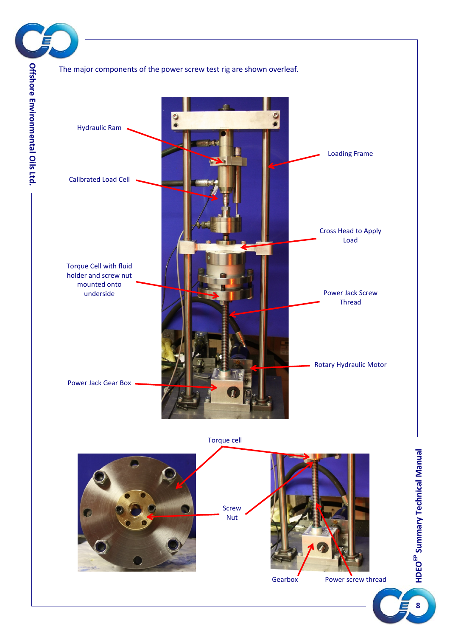



Torque cell



**8**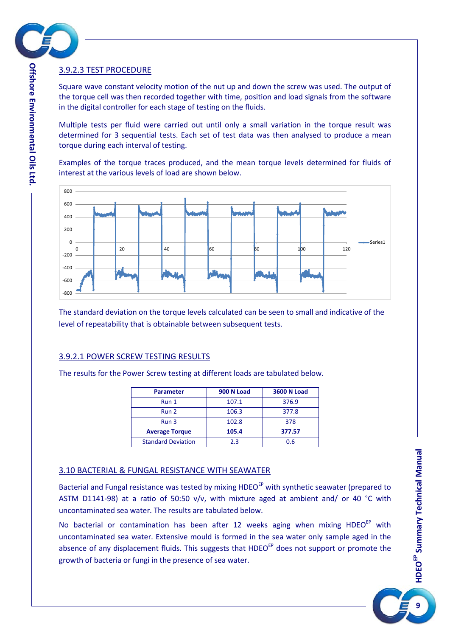

#### <span id="page-8-0"></span>3.9.2.3 TEST PROCEDURE

Square wave constant velocity motion of the nut up and down the screw was used. The output of the torque cell was then recorded together with time, position and load signals from the software in the digital controller for each stage of testing on the fluids.

Multiple tests per fluid were carried out until only a small variation in the torque result was determined for 3 sequential tests. Each set of test data was then analysed to produce a mean torque during each interval of testing.

Examples of the torque traces produced, and the mean torque levels determined for fluids of interest at the various levels of load are shown below.



The standard deviation on the torque levels calculated can be seen to small and indicative of the level of repeatability that is obtainable between subsequent tests.

#### <span id="page-8-1"></span>3.9.2.1 POWER SCREW TESTING RESULTS

The results for the Power Screw testing at different loads are tabulated below.

| <b>Parameter</b>          | <b>900 N Load</b> | <b>3600 N Load</b> |
|---------------------------|-------------------|--------------------|
| Run 1                     | 107.1             | 376.9              |
| Run 2                     | 106.3             | 377.8              |
| Run 3                     | 102.8             | 378                |
| <b>Average Torque</b>     | 105.4             | 377.57             |
| <b>Standard Deviation</b> | 2.3               | 0.6                |

#### <span id="page-8-2"></span>3.10 BACTERIAL & FUNGAL RESISTANCE WITH SEAWATER

Bacterial and Fungal resistance was tested by mixing HDEO<sup>EP</sup> with synthetic seawater (prepared to ASTM D1141-98) at a ratio of 50:50 v/v, with mixture aged at ambient and/ or 40 °C with uncontaminated sea water. The results are tabulated below.

No bacterial or contamination has been after 12 weeks aging when mixing  $HDEO<sup>EP</sup>$  with uncontaminated sea water. Extensive mould is formed in the sea water only sample aged in the absence of any displacement fluids. This suggests that HDEO<sup>EP</sup> does not support or promote the growth of bacteria or fungi in the presence of sea water.



**Offshore Environmental Oils Offshore Environmental Oils Ltd**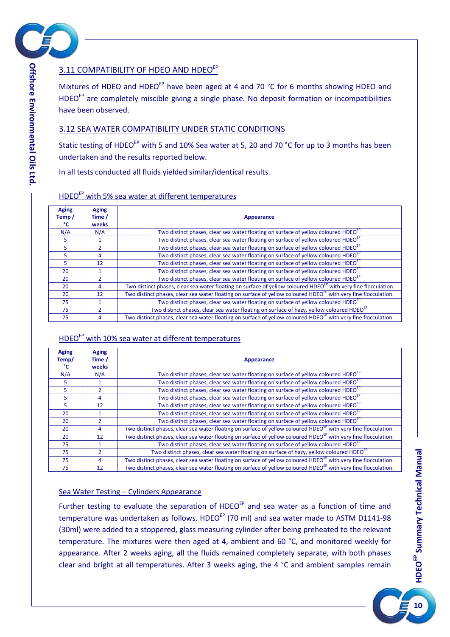

# <span id="page-9-0"></span>3.11 COMPATIBILITY OF HDEO AND HDEOEP

Mixtures of HDEO and HDEO<sup>EP</sup> have been aged at 4 and 70 °C for 6 months showing HDEO and HDEO<sup>EP</sup> are completely miscible giving a single phase. No deposit formation or incompatibilities have been observed.

#### <span id="page-9-1"></span>3.12 SEA WATER COMPATIBILITY UNDER STATIC CONDITIONS

Static testing of HDEO<sup>EP</sup> with 5 and 10% Sea water at 5, 20 and 70 °C for up to 3 months has been undertaken and the results reported below.

In all tests conducted all fluids yielded similar/identical results.

| <b>Aging</b><br>Temp/<br>°C | <b>Aging</b><br>Time /<br>weeks | Appearance                                                                                                                  |
|-----------------------------|---------------------------------|-----------------------------------------------------------------------------------------------------------------------------|
| N/A                         | N/A                             | Two distinct phases, clear sea water floating on surface of yellow coloured HDEO <sup>EP</sup>                              |
| 5                           |                                 | Two distinct phases, clear sea water floating on surface of yellow coloured HDEO <sup>EP</sup>                              |
| 5                           |                                 | Two distinct phases, clear sea water floating on surface of yellow coloured HDEO <sup>EP</sup>                              |
| 5                           | 4                               | Two distinct phases, clear sea water floating on surface of yellow coloured HDEO <sup>EP</sup>                              |
| 5                           | 12                              | Two distinct phases, clear sea water floating on surface of yellow coloured HDEO <sup>EP</sup>                              |
| 20                          |                                 | Two distinct phases, clear sea water floating on surface of yellow coloured HDEO <sup>EP</sup>                              |
| 20                          |                                 | Two distinct phases, clear sea water floating on surface of yellow coloured HDEO <sup>EP</sup>                              |
| 20                          | 4                               | Two distinct phases, clear sea water floating on surface of yellow coloured HDEO <sup>EP</sup> with very fine flocculation  |
| 20                          | 12                              | Two distinct phases, clear sea water floating on surface of yellow coloured HDEO <sup>EP</sup> with very fine flocculation. |
| 75                          |                                 | Two distinct phases, clear sea water floating on surface of yellow coloured HDEO <sup>EP</sup>                              |
| 75                          |                                 | Two distinct phases, clear sea water floating on surface of hazy, yellow coloured HDEO <sup>EP</sup>                        |
| 75                          | 4                               | Two distinct phases, clear sea water floating on surface of yellow coloured HDEO <sup>EP</sup> with very fine flocculation. |

# HDEOEP with 5% sea water at different temperatures

## HDEO<sup>EP</sup> with 10% sea water at different temperatures

| <b>Aging</b><br>Temp/<br>°C | <b>Aging</b><br>Time /<br>weeks | <b>Appearance</b>                                                                                                           |
|-----------------------------|---------------------------------|-----------------------------------------------------------------------------------------------------------------------------|
| N/A                         | N/A                             | Two distinct phases, clear sea water floating on surface of yellow coloured HDEO <sup>EP</sup>                              |
| 5                           |                                 | Two distinct phases, clear sea water floating on surface of yellow coloured HDEO <sup>EP</sup>                              |
| 5                           |                                 | Two distinct phases, clear sea water floating on surface of yellow coloured HDEO <sup>EP</sup>                              |
| 5                           | 4                               | Two distinct phases, clear sea water floating on surface of yellow coloured HDEO <sup>EP</sup>                              |
| 5                           | 12                              | Two distinct phases, clear sea water floating on surface of yellow coloured HDEO <sup>EP</sup>                              |
| 20                          |                                 | Two distinct phases, clear sea water floating on surface of yellow coloured HDEO <sup>EP</sup>                              |
| 20                          |                                 | Two distinct phases, clear sea water floating on surface of yellow coloured HDEO <sup>EP</sup>                              |
| 20                          | 4                               | Two distinct phases, clear sea water floating on surface of yellow coloured HDEO <sup>EP</sup> with very fine flocculation. |
| 20                          | 12                              | Two distinct phases, clear sea water floating on surface of yellow coloured HDEO <sup>EP</sup> with very fine flocculation. |
| 75                          |                                 | Two distinct phases, clear sea water floating on surface of yellow coloured HDEO <sup>EP</sup>                              |
| 75                          |                                 | Two distinct phases, clear sea water floating on surface of hazy, yellow coloured HDEO <sup>EP</sup>                        |
| 75                          | 4                               | Two distinct phases, clear sea water floating on surface of yellow coloured HDEO <sup>EP</sup> with very fine flocculation. |
| 75                          | 12                              | Two distinct phases, clear sea water floating on surface of yellow coloured HDEO <sup>EP</sup> with very fine flocculation. |

#### Sea Water Testing – Cylinders Appearance

Further testing to evaluate the separation of HDEO<sup>EP</sup> and sea water as a function of time and temperature was undertaken as follows. HDEO<sup>EP</sup> (70 ml) and sea water made to ASTM D1141-98 (30ml) were added to a stoppered, glass measuring cylinder after being preheated to the relevant temperature. The mixtures were then aged at 4, ambient and 60 °C, and monitored weekly for appearance. After 2 weeks aging, all the fluids remained completely separate, with both phases clear and bright at all temperatures. After 3 weeks aging, the 4 °C and ambient samples remain